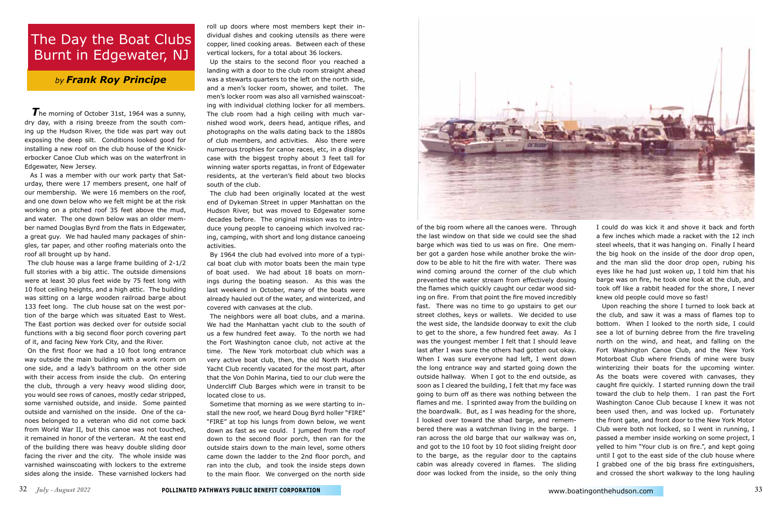The morning of October 31st, 1964 was a sunny, dry day, with a rising breeze from the south coming up the Hudson River, the tide was part way out exposing the deep silt. Conditions looked good for installing a new roof on the club house of the Knickerbocker Canoe Club which was on the waterfront in Edgewater, New Jersey.

 As I was a member with our work party that Saturday, there were 17 members present, one half of our membership. We were 16 members on the roof, and one down below who we felt might be at the risk working on a pitched roof 35 feet above the mud, and water. The one down below was an older member named Douglas Byrd from the flats in Edgewater, a great guy. We had hauled many packages of shingles, tar paper, and other roofing materials onto the roof all brought up by hand.

The club house was a large frame building of 2-1/2 full stories with a big attic. The outside dimensions were at least 30 plus feet wide by 75 feet long with 10 foot ceiling heights, and a high attic. The building was sitting on a large wooden railroad barge about 133 feet long. The club house sat on the west portion of the barge which was situated East to West. The East portion was decked over for outside social functions with a big second floor porch covering part of it, and facing New York City, and the River.

On the first floor we had a 10 foot long entrance way outside the main building with a work room on one side, and a lady's bathroom on the other side with their access from inside the club. On entering the club, through a very heavy wood sliding door, you would see rows of canoes, mostly cedar stripped, some varnished outside, and inside. Some painted outside and varnished on the inside. One of the canoes belonged to a veteran who did not come back from World War II, but this canoe was not touched, it remained in honor of the verteran. At the east end of the building there was heavy double sliding door facing the river and the city. The whole inside was varnished wainscoating with lockers to the extreme sides along the inside. These varnished lockers had

roll up doors where most members kept their individual dishes and cooking utensils as there were copper, lined cooking areas. Between each of these vertical lockers, for a total about 36 lockers.

Up the stairs to the second floor you reached a landing with a door to the club room straight ahead was a stewarts quarters to the left on the north side, and a men's locker room, shower, and toilet. The men's locker room was also all varnished wainscoating with individual clothing locker for all members. The club room had a high ceiling with much varnished wood work, deers head, antique rifles, and photographs on the walls dating back to the 1880s of club members, and activities. Also there were numerous trophies for canoe races, etc, in a display case with the biggest trophy about 3 feet tall for winning water sports regattas, in front of Edgewater residents, at the verteran's field about two blocks south of the club.

The club had been originally located at the west end of Dykeman Street in upper Manhattan on the Hudson River, but was moved to Edgewater some decades before. The original mission was to introduce young people to canoeing which involved racing, camping, with short and long distance canoeing activities.

By 1964 the club had evolved into more of a typical boat club with motor boats been the main type of boat used. We had about 18 boats on mornings during the boating season. As this was the last weekend in October, many of the boats were already hauled out of the water, and winterized, and covered with canvases at the club.

The neighbors were all boat clubs, and a marina. We had the Manhattan yacht club to the south of us a few hundred feet away. To the north we had the Fort Washington canoe club, not active at the time. The New York motorboat club which was a very active boat club, then, the old North Hudson Yacht Club recently vacated for the most part, after that the Von Dohln Marina, tied to our club were the Undercliff Club Barges which were in transit to be located close to us.

Sometime that morning as we were starting to install the new roof, we heard Doug Byrd holler "FIRE" "FIRE" at top his lungs from down below, we went down as fast as we could. I jumped from the roof down to the second floor porch, then ran for the outside stairs down to the main level, some others came down the ladder to the 2nd floor porch, and ran into the club, and took the inside steps down to the main floor. We converged on the north side



of the big room where all the canoes were. Through the last window on that side we could see the shad barge which was tied to us was on fire. One member got a garden hose while another broke the window to be able to hit the fire with water. There was wind coming around the corner of the club which prevented the water stream from effectively dosing the flames which quickly caught our cedar wood siding on fire. From that point the fire moved incredibly fast. There was no time to go upstairs to get our street clothes, keys or wallets. We decided to use the west side, the landside doorway to exit the club to get to the shore, a few hundred feet away. As I was the youngest member I felt that I should leave last after I was sure the others had gotten out okay. When I was sure everyone had left, I went down the long entrance way and started going down the outside hallway. When I got to the end outside, as soon as I cleared the building, I felt that my face was going to burn off as there was nothing between the flames and me. I sprinted away from the building on the boardwalk. But, as I was heading for the shore, I looked over toward the shad barge, and remembered there was a watchman living in the barge. I ran across the old barge that our walkway was on, and got to the 10 foot by 10 foot sliding freight door to the barge, as the regular door to the captains cabin was already covered in flames. The sliding door was locked from the inside, so the only thing

I could do was kick it and shove it back and forth a few inches which made a racket with the 12 inch steel wheels, that it was hanging on. Finally I heard the big hook on the inside of the door drop open, and the man slid the door drop open, rubing his eyes like he had just woken up, I told him that his barge was on fire, he took one look at the club, and took off like a rabbit headed for the shore, I never knew old people could move so fast!

 Upon reaching the shore I turned to look back at the club, and saw it was a mass of flames top to bottom. When I looked to the north side, I could see a lot of burning debree from the fire traveling north on the wind, and heat, and falling on the Fort Washington Canoe Club, and the New York Motorboat Club where friends of mine were busy winterizing their boats for the upcoming winter. As the boats were covered with canvases, they caught fire quickly. I started running down the trail toward the club to help them. I ran past the Fort Washington Canoe Club because I knew it was not been used then, and was locked up. Fortunately the front gate, and front door to the New York Motor Club were both not locked, so I went in running, I passed a member inside working on some project, I yelled to him "Your club is on fire.", and kept going until I got to the east side of the club house where I grabbed one of the big brass fire extinguishers, and crossed the short walkway to the long hauling

*by Frank Roy Principe*

## The Day the Boat Clubs Burnt in Edgewater, NJ